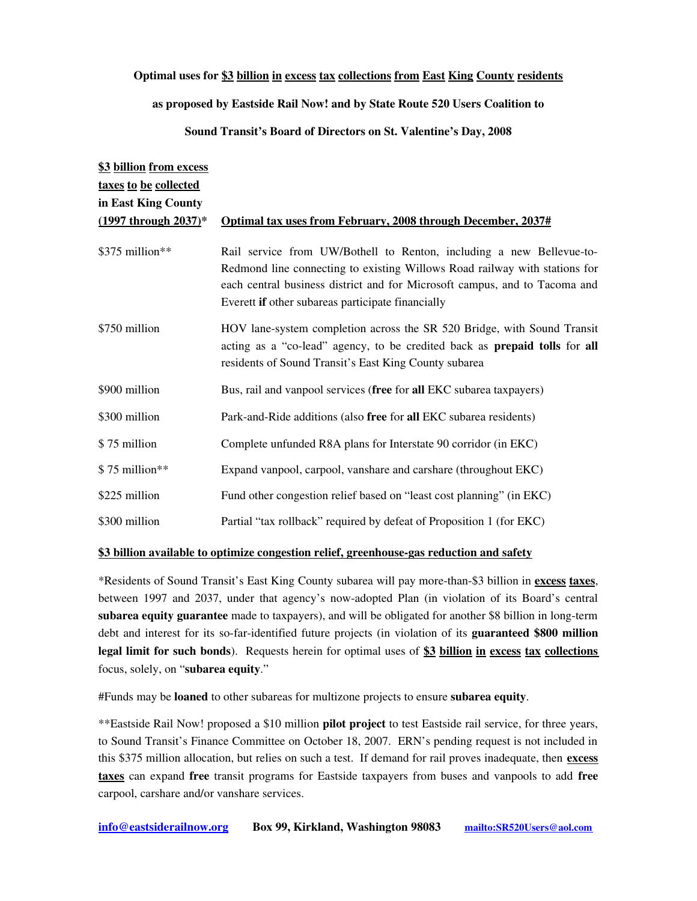## Optimal uses for \$3 billion in excess tax collections from East King County residents

## as proposed by Eastside Rail Now! and by State Route 520 Users Coalition to

## Sound Transit's Board of Directors on St. Valentine's Day, 2008

| \$3 billion from excess   |                                                                                                                                                                                                                                                                                       |
|---------------------------|---------------------------------------------------------------------------------------------------------------------------------------------------------------------------------------------------------------------------------------------------------------------------------------|
| taxes to be collected     |                                                                                                                                                                                                                                                                                       |
| in East King County       |                                                                                                                                                                                                                                                                                       |
| $(1997$ through $2037)$ * | Optimal tax uses from February, 2008 through December, 2037#                                                                                                                                                                                                                          |
| $$375$ million**          | Rail service from UW/Bothell to Renton, including a new Bellevue-to-<br>Redmond line connecting to existing Willows Road railway with stations for<br>each central business district and for Microsoft campus, and to Tacoma and<br>Everett if other subareas participate financially |
| \$750 million             | HOV lane-system completion across the SR 520 Bridge, with Sound Transit<br>acting as a "co-lead" agency, to be credited back as <b>prepaid tolls</b> for all<br>residents of Sound Transit's East King County subarea                                                                 |
| \$900 million             | Bus, rail and vanpool services (free for all EKC subarea taxpayers)                                                                                                                                                                                                                   |
| \$300 million             | Park-and-Ride additions (also free for all EKC subarea residents)                                                                                                                                                                                                                     |
| \$75 million              | Complete unfunded R8A plans for Interstate 90 corridor (in EKC)                                                                                                                                                                                                                       |
| \$75 million**            | Expand vanpool, carpool, vanshare and carshare (throughout EKC)                                                                                                                                                                                                                       |
| \$225 million             | Fund other congestion relief based on "least cost planning" (in EKC)                                                                                                                                                                                                                  |
| \$300 million             | Partial "tax rollback" required by defeat of Proposition 1 (for EKC)                                                                                                                                                                                                                  |

## \$3 billion available to optimize congestion relief, greenhouse-gas reduction and safety

\*Residents of Sound Transit's East King County subarea will pay more-than-\$3 billion in excess taxes, between 1997 and 2037, under that agency's nowadopted Plan (in violation of its Board's central subarea equity guarantee made to taxpayers), and will be obligated for another \$8 billion in long-term debt and interest for its so-far-identified future projects (in violation of its guaranteed \$800 million legal limit for such bonds). Requests herein for optimal uses of \$3 billion in excess tax collections focus, solely, on "subarea equity."

#Funds may be **loaned** to other subareas for multizone projects to ensure **subarea equity**.

\*\*Eastside Rail Now! proposed a \$10 million pilot project to test Eastside rail service, for three years, to Sound Transit's Finance Committee on October 18, 2007. ERN's pending request is not included in this \$375 million allocation, but relies on such a test. If demand for rail proves inadequate, then excess taxes can expand free transit programs for Eastside taxpayers from buses and vanpools to add free carpool, carshare and/or vanshare services.